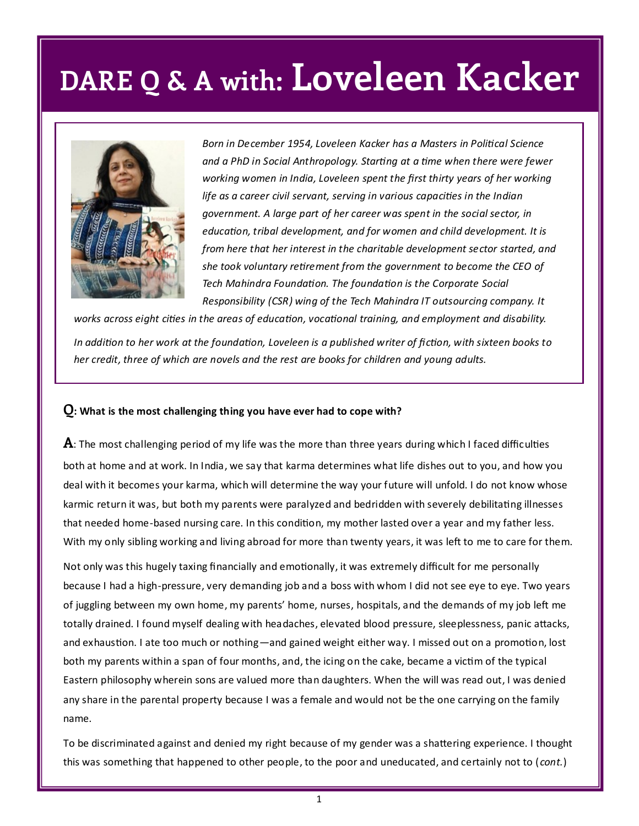

*Born in December 1954, Loveleen Kacker has a Masters in Political Science and a PhD in Social Anthropology. Starting at a time when there were fewer working women in India, Loveleen spent the first thirty years of her working life as a career civil servant, serving in various capacities in the Indian government. A large part of her career was spent in the social sector, in education, tribal development, and for women and child development. It is from here that her interest in the charitable development sector started, and she took voluntary retirement from the government to become the CEO of Tech Mahindra Foundation. The foundation is the Corporate Social Responsibility (CSR) wing of the Tech Mahindra IT outsourcing company. It* 

*works across eight cities in the areas of education, vocational training, and employment and disability.*

*In addition to her work at the foundation, Loveleen is a published writer of fiction, with sixteen books to her credit, three of which are novels and the rest are books for children and young adults.* 

#### **Q: What is the most challenging thing you have ever had to cope with?**

**A**: The most challenging period of my life was the more than three years during which I faced difficulties both at home and at work. In India, we say that karma determines what life dishes out to you, and how you deal with it becomes your karma, which will determine the way your future will unfold. I do not know whose karmic return it was, but both my parents were paralyzed and bedridden with severely debilitating illnesses that needed home-based nursing care. In this condition, my mother lasted over a year and my father less. With my only sibling working and living abroad for more than twenty years, it was left to me to care for them.

Not only was this hugely taxing financially and emotionally, it was extremely difficult for me personally because I had a high-pressure, very demanding job and a boss with whom I did not see eye to eye. Two years of juggling between my own home, my parents' home, nurses, hospitals, and the demands of my job left me totally drained. I found myself dealing with headaches, elevated blood pressure, sleeplessness, panic attacks, and exhaustion. I ate too much or nothing—and gained weight either way. I missed out on a promotion, lost both my parents within a span of four months, and, the icing on the cake, became a victim of the typical Eastern philosophy wherein sons are valued more than daughters. When the will was read out, I was denied any share in the parental property because I was a female and would not be the one carrying on the family name.

To be discriminated against and denied my right because of my gender was a shattering experience. I thought this was something that happened to other people, to the poor and uneducated, and certainly not to ( *cont.*)

1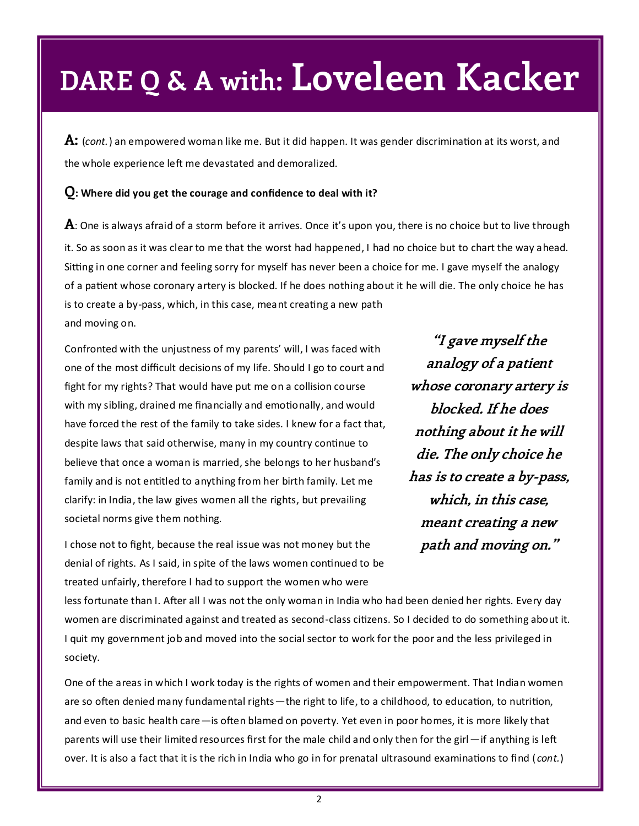**A:** (*cont.*) an empowered woman like me. But it did happen. It was gender discrimination at its worst, and the whole experience left me devastated and demoralized.

#### **Q: Where did you get the courage and confidence to deal with it?**

**A**: One is always afraid of a storm before it arrives. Once it's upon you, there is no choice but to live through it. So as soon as it was clear to me that the worst had happened, I had no choice but to chart the way ahead. Sitting in one corner and feeling sorry for myself has never been a choice for me. I gave myself the analogy of a patient whose coronary artery is blocked. If he does nothing about it he will die. The only choice he has is to create a by-pass, which, in this case, meant creating a new path and moving on.

Confronted with the unjustness of my parents' will, I was faced with one of the most difficult decisions of my life. Should I go to court and fight for my rights? That would have put me on a collision course with my sibling, drained me financially and emotionally, and would have forced the rest of the family to take sides. I knew for a fact that, despite laws that said otherwise, many in my country continue to believe that once a woman is married, she belongs to her husband's family and is not entitled to anything from her birth family. Let me clarify: in India, the law gives women all the rights, but prevailing societal norms give them nothing.

**"I gave myself the analogy of a patient whose coronary artery is blocked. If he does nothing about it he will die. The only choice he has is to create a by-pass, which, in this case, meant creating a new path and moving on."**

I chose not to fight, because the real issue was not money but the denial of rights. As I said, in spite of the laws women continued to be treated unfairly, therefore I had to support the women who were

less fortunate than I. After all I was not the only woman in India who had been denied her rights. Every day women are discriminated against and treated as second-class citizens. So I decided to do something about it. I quit my government job and moved into the social sector to work for the poor and the less privileged in society.

One of the areas in which I work today is the rights of women and their empowerment. That Indian women are so often denied many fundamental rights—the right to life, to a childhood, to education, to nutrition, and even to basic health care—is often blamed on poverty. Yet even in poor homes, it is more likely that parents will use their limited resources first for the male child and only then for the girl—if anything is left over. It is also a fact that it is the rich in India who go in for prenatal ultrasound examinations to find ( *cont.*)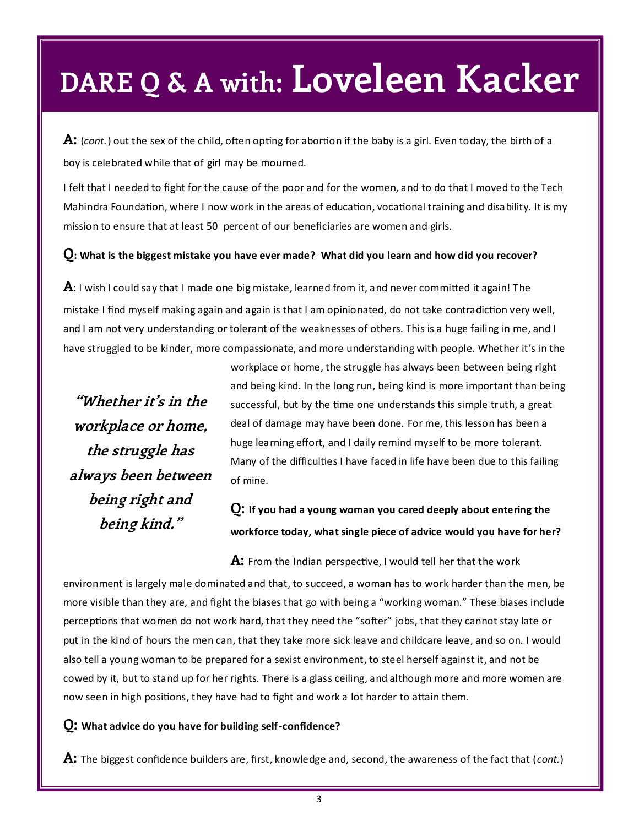**A:** (*cont.*) out the sex of the child, often opting for abortion if the baby is a girl. Even today, the birth of a boy is celebrated while that of girl may be mourned.

I felt that I needed to fight for the cause of the poor and for the women, and to do that I moved to the Tech Mahindra Foundation, where I now work in the areas of education, vocational training and disability. It is my mission to ensure that at least 50 percent of our beneficiaries are women and girls.

#### **Q: What is the biggest mistake you have ever made? What did you learn and how did you recover?**

**A**: I wish I could say that I made one big mistake, learned from it, and never committed it again! The mistake I find myself making again and again is that I am opinionated, do not take contradiction very well, and I am not very understanding or tolerant of the weaknesses of others. This is a huge failing in me, and I have struggled to be kinder, more compassionate, and more understanding with people. Whether it's in the

**"Whether it's in the workplace or home, the struggle has always been between being right and being kind."**

workplace or home, the struggle has always been between being right and being kind. In the long run, being kind is more important than being successful, but by the time one understands this simple truth, a great deal of damage may have been done. For me, this lesson has been a huge learning effort, and I daily remind myself to be more tolerant. Many of the difficulties I have faced in life have been due to this failing of mine.

### **Q: If you had a young woman you cared deeply about entering the workforce today, what single piece of advice would you have for her?**

**A:** From the Indian perspective, I would tell her that the work environment is largely male dominated and that, to succeed, a woman has to work harder than the men, be more visible than they are, and fight the biases that go with being a "working woman." These biases include perceptions that women do not work hard, that they need the "softer" jobs, that they cannot stay late or put in the kind of hours the men can, that they take more sick leave and childcare leave, and so on. I would also tell a young woman to be prepared for a sexist environment, to steel herself against it, and not be cowed by it, but to stand up for her rights. There is a glass ceiling, and although more and more women are now seen in high positions, they have had to fight and work a lot harder to attain them.

#### **Q: What advice do you have for building self-confidence?**

**A:** The biggest confidence builders are, first, knowledge and, second, the awareness of the fact that (*cont.*)